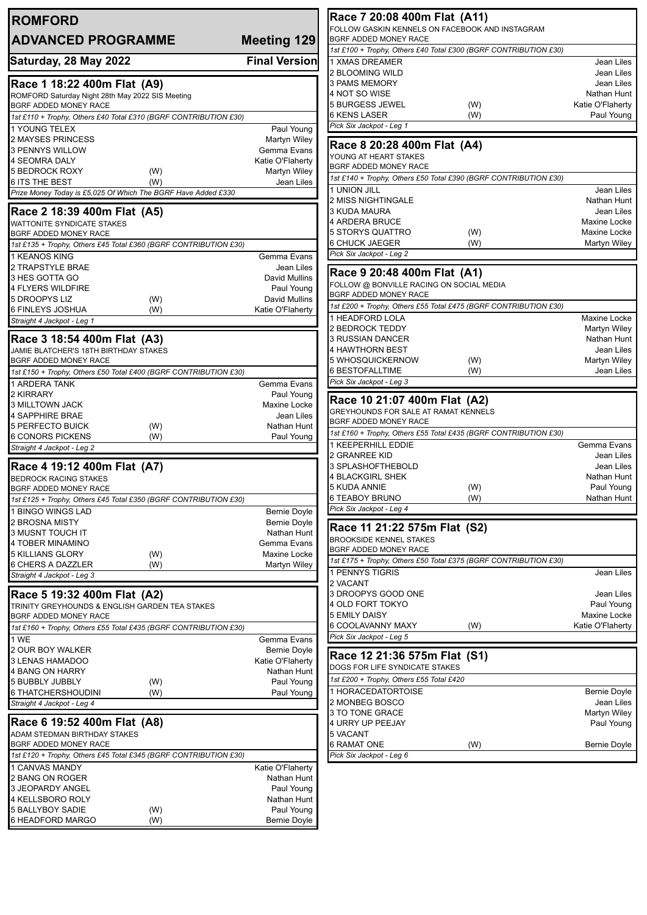| <b>ROMFORD</b><br><b>ADVANCED PROGRAMME</b>                                                                                                                                           | <b>Meeting 129</b>                                               | Race 7 20:08 400<br><b>FOLLOW GASKIN KENNE</b><br><b>BGRF ADDED MONEY RA</b>                                                            |
|---------------------------------------------------------------------------------------------------------------------------------------------------------------------------------------|------------------------------------------------------------------|-----------------------------------------------------------------------------------------------------------------------------------------|
| Saturday, 28 May 2022                                                                                                                                                                 | <b>Final Version</b>                                             | 1st £100 + Trophy, Others J<br>1 XMAS DREAMER                                                                                           |
| Race 1 18:22 400m Flat (A9)<br>ROMFORD Saturday Night 28th May 2022 SIS Meeting<br>BGRF ADDED MONEY RACE<br>1st £110 + Trophy, Others £40 Total £310 (BGRF CONTRIBUTION £30)          |                                                                  | 2 BLOOMING WILD<br>3 PAMS MEMORY<br>4 NOT SO WISE<br><b>5 BURGESS JEWEL</b><br><b>6 KENS LASER</b>                                      |
| 1 YOUNG TELEX                                                                                                                                                                         | Paul Young                                                       | Pick Six Jackpot - Leg 1                                                                                                                |
| 2 MAYSES PRINCESS<br><b>3 PENNYS WILLOW</b><br><b>4 SEOMRA DALY</b><br><b>5 BEDROCK ROXY</b><br>(W)                                                                                   | Martyn Wiley<br>Gemma Evans<br>Katie O'Flaherty<br>Martyn Wiley  | Race 8 20:28 400<br>YOUNG AT HEART STAKE<br>BGRF ADDED MONEY RA<br>1st £140 + Trophy, Others J                                          |
| 6 ITS THE BEST<br>(W)<br>Prize Money Today is £5,025 Of Which The BGRF Have Added £330                                                                                                | Jean Liles                                                       | 1 UNION JILL                                                                                                                            |
| Race 2 18:39 400m Flat (A5)<br><b>WATTONITE SYNDICATE STAKES</b><br><b>BGRF ADDED MONEY RACE</b><br>1st £135 + Trophy, Others £45 Total £360 (BGRF CONTRIBUTION £30)<br>1 KEANOS KING | Gemma Evans                                                      | 2 MISS NIGHTINGALE<br>3 KUDA MAURA<br><b>4 ARDERA BRUCE</b><br>5 STORYS QUATTRO<br><b>6 CHUCK JAEGER</b><br>Pick Six Jackpot - Leg 2    |
| 2 TRAPSTYLE BRAE                                                                                                                                                                      | Jean Liles                                                       | Race 9 20:48 400                                                                                                                        |
| 3 HES GOTTA GO<br>4 FLYERS WILDFIRE<br>5 DROOPYS LIZ<br>(W)<br>6 FINLEYS JOSHUA<br>(W)                                                                                                | David Mullins<br>Paul Young<br>David Mullins<br>Katie O'Flaherty | FOLLOW @ BONVILLE RA<br>BGRF ADDED MONEY RA<br>1st £200 + Trophy, Others J                                                              |
| Straight 4 Jackpot - Leg 1                                                                                                                                                            |                                                                  | 1 HEADFORD LOLA                                                                                                                         |
| Race 3 18:54 400m Flat (A3)<br>JAMIE BLATCHER'S 18TH BIRTHDAY STAKES<br>BGRF ADDED MONEY RACE<br>1st £150 + Trophy, Others £50 Total £400 (BGRF CONTRIBUTION £30)<br>1 ARDERA TANK    | Gemma Evans                                                      | 2 BEDROCK TEDDY<br><b>3 RUSSIAN DANCER</b><br>4 HAWTHORN BEST<br>5 WHOSQUICKERNOW<br><b>6 BESTOFALLTIME</b><br>Pick Six Jackpot - Leg 3 |
| 2 KIRRARY<br><b>3 MILLTOWN JACK</b><br>4 SAPPHIRE BRAE<br>5 PERFECTO BUICK<br>(W)                                                                                                     | Paul Young<br>Maxine Locke<br>Jean Liles<br>Nathan Hunt          | Race 10 21:07 40<br><b>GREYHOUNDS FOR SALE</b><br>BGRF ADDED MONEY RA<br>1st £160 + Trophy, Others J                                    |
| <b>6 CONORS PICKENS</b><br>(W)<br>Straight 4 Jackpot - Leg 2                                                                                                                          | Paul Young                                                       | 1 KEEPERHILL EDDIE                                                                                                                      |
| Race 4 19:12 400m Flat (A7)<br><b>BEDROCK RACING STAKES</b><br><b>BGRF ADDED MONEY RACE</b><br>1st £125 + Trophy, Others £45 Total £350 (BGRF CONTRIBUTION £30)<br>1 BINGO WINGS LAD  | Bernie Doyle                                                     | 2 GRANREE KID<br>3 SPLASHOFTHEBOLD<br>4 BLACKGIRL SHEK<br><b>5 KUDA ANNIE</b><br><b>6 TEABOY BRUNO</b><br>Pick Six Jackpot - Leg 4      |
| 2 BROSNA MISTY<br>3 MUSNT TOUCH IT                                                                                                                                                    | <b>Bernie Doyle</b><br>Nathan Hunt                               | Race 11 21:22 57                                                                                                                        |
| <b>4 TOBER MINAMINO</b><br><b>5 KILLIANS GLORY</b><br>(W)<br>6 CHERS A DAZZLER<br>(W)                                                                                                 | Gemma Evans<br>Maxine Locke<br>Martyn Wiley                      | <b>BROOKSIDE KENNEL STA</b><br>BGRF ADDED MONEY RA<br>1st £175 + Trophy, Others J                                                       |
| Straight 4 Jackpot - Leg 3                                                                                                                                                            |                                                                  | 1 PENNYS TIGRIS                                                                                                                         |
| Race 5 19:32 400m Flat (A2)<br>TRINITY GREYHOUNDS & ENGLISH GARDEN TEA STAKES<br>BGRF ADDED MONEY RACE<br>1st £160 + Trophy, Others £55 Total £435 (BGRF CONTRIBUTION £30)            |                                                                  | 2 VACANT<br>3 DROOPYS GOOD ON<br>4 OLD FORT TOKYO<br>5 EMILY DAISY<br>6 COOLAVANNY MAXY                                                 |
| 1 WE<br>2 OUR BOY WALKER                                                                                                                                                              | Gemma Evans                                                      | Pick Six Jackpot - Leg 5                                                                                                                |
| 3 LENAS HAMADOO<br>4 BANG ON HARRY<br>5 BUBBLY JUBBLY                                                                                                                                 | Bernie Doyle<br>Katie O'Flaherty<br>Nathan Hunt                  | Race 12 21:36 57<br><b>DOGS FOR LIFE SYNDICA</b><br>1st £200 + Trophy, Others J                                                         |
| (W)<br>6 THATCHERSHOUDINI<br>(W)<br>Straight 4 Jackpot - Leg 4                                                                                                                        | Paul Young<br>Paul Young                                         | 1 HORACEDATORTOIS<br>2 MONBEG BOSCO<br>3 TO TONE GRACE                                                                                  |
| Race 6 19:52 400m Flat (A8)<br>ADAM STEDMAN BIRTHDAY STAKES<br>BGRF ADDED MONEY RACE                                                                                                  |                                                                  | 4 URRY UP PEEJAY<br>5 VACANT<br><b>6 RAMAT ONE</b>                                                                                      |
| 1st £120 + Trophy, Others £45 Total £345 (BGRF CONTRIBUTION £30)<br>1 CANVAS MANDY                                                                                                    | Katie O'Flaherty                                                 | Pick Six Jackpot - Leg 6                                                                                                                |
| 2 BANG ON ROGER<br>3 JEOPARDY ANGEL<br>4 KELLSBORO ROLY                                                                                                                               | Nathan Hunt<br>Paul Young<br>Nathan Hunt                         |                                                                                                                                         |
| 5 BALLYBOY SADIE<br>(W)<br>6 HEADFORD MARGO<br>(W)                                                                                                                                    | Paul Young<br>Bernie Doyle                                       |                                                                                                                                         |

| Race 7 20:08 400m Flat (A11)                                             |                            |  |  |  |
|--------------------------------------------------------------------------|----------------------------|--|--|--|
| FOLLOW GASKIN KENNELS ON FACEBOOK AND INSTAGRAM<br>BGRF ADDED MONEY RACE |                            |  |  |  |
| 1st £100 + Trophy, Others £40 Total £300 (BGRF CONTRIBUTION £30)         |                            |  |  |  |
| 1 XMAS DREAMER                                                           | Jean Liles                 |  |  |  |
| 2 BLOOMING WILD                                                          | Jean Liles                 |  |  |  |
| 3 PAMS MEMORY                                                            | Jean Liles                 |  |  |  |
| 4 NOT SO WISE                                                            | Nathan Hunt                |  |  |  |
| 5 BURGESS JEWEL<br>(W)                                                   | Katie O'Flaherty           |  |  |  |
| 6 KENS LASER<br>(W)                                                      | Paul Young                 |  |  |  |
| Pick Six Jackpot - Leg 1                                                 |                            |  |  |  |
| Race 8 20:28 400m Flat (A4)                                              |                            |  |  |  |
| YOUNG AT HEART STAKES<br>BGRF ADDED MONEY RACE                           |                            |  |  |  |
| 1st £140 + Trophy, Others £50 Total £390 (BGRF CONTRIBUTION £30)         |                            |  |  |  |
| 1 UNION JILL                                                             | Jean Liles                 |  |  |  |
| 2 MISS NIGHTINGALE                                                       | Nathan Hunt                |  |  |  |
| 3 KUDA MAURA                                                             | Jean Liles                 |  |  |  |
| 4 ARDERA BRUCE                                                           | Maxine Locke               |  |  |  |
| 5 STORYS QUATTRO<br>(W)                                                  | Maxine Locke               |  |  |  |
| 6 CHUCK JAEGER<br>(W)                                                    | Martyn Wiley               |  |  |  |
| Pick Six Jackpot - Leg 2                                                 |                            |  |  |  |
| Race 9 20:48 400m Flat (A1)                                              |                            |  |  |  |
| FOLLOW @ BONVILLE RACING ON SOCIAL MEDIA                                 |                            |  |  |  |
| BGRF ADDED MONEY RACE                                                    |                            |  |  |  |
| 1st £200 + Trophy, Others £55 Total £475 (BGRF CONTRIBUTION £30)         |                            |  |  |  |
| 1 HEADFORD LOLA                                                          | Maxine Locke               |  |  |  |
| 2 BEDROCK TEDDY                                                          | Martyn Wiley               |  |  |  |
| 3 RUSSIAN DANCER                                                         | Nathan Hunt                |  |  |  |
| 4 HAWTHORN BEST                                                          | Jean Liles                 |  |  |  |
| 5 WHOSQUICKERNOW<br>(W)                                                  | Martyn Wiley               |  |  |  |
| 6 BESTOFALLTIME<br>(W)                                                   | Jean Liles                 |  |  |  |
| Pick Six Jackpot - Leg 3                                                 |                            |  |  |  |
| Race 10 21:07 400m Flat (A2)                                             |                            |  |  |  |
| <b>GREYHOUNDS FOR SALE AT RAMAT KENNELS</b>                              |                            |  |  |  |
| BGRF ADDED MONEY RACE                                                    |                            |  |  |  |
| 1st £160 + Trophy, Others £55 Total £435 (BGRF CONTRIBUTION £30)         |                            |  |  |  |
| <b>1 KEEPERHILL EDDIE</b>                                                | Gemma Evans                |  |  |  |
| 2 GRANREE KID                                                            | Jean Liles                 |  |  |  |
| 3 SPLASHOFTHEBOLD<br>4 BLACKGIRL SHEK                                    | Jean Liles                 |  |  |  |
| 5 KUDA ANNIE<br>(W)                                                      | Nathan Hunt<br>Paul Young  |  |  |  |
| 6 TEABOY BRUNO<br>(VV)                                                   | Nathan Hunt                |  |  |  |
| Pick Six Jackpot - Leg 4                                                 |                            |  |  |  |
|                                                                          |                            |  |  |  |
| Race 11 21:22 575m Flat (S2)                                             |                            |  |  |  |
| <b>BROOKSIDE KENNEL STAKES</b>                                           |                            |  |  |  |
| BGRF ADDED MONEY RACE                                                    |                            |  |  |  |
| 1st £175 + Trophy, Others £50 Total £375 (BGRF CONTRIBUTION £30)         |                            |  |  |  |
| 1 PENNYS TIGRIS                                                          | Jean Liles                 |  |  |  |
| 2 VACANT                                                                 |                            |  |  |  |
| 3 DROOPYS GOOD ONE                                                       | Jean Liles                 |  |  |  |
| 4 OLD FORT TOKYO<br>5 EMILY DAISY                                        | Paul Young<br>Maxine Locke |  |  |  |
| 6 COOLAVANNY MAXY<br>(W)                                                 | Katie O'Flaherty           |  |  |  |
| Pick Six Jackpot - Leg 5                                                 |                            |  |  |  |
|                                                                          |                            |  |  |  |
| Race 12 21:36 575m Flat (S1)                                             |                            |  |  |  |
| DOGS FOR LIFE SYNDICATE STAKES                                           |                            |  |  |  |
| 1st £200 + Trophy, Others £55 Total £420                                 |                            |  |  |  |

1

| IDOGS FOR LIFE SYNDICATE STAKES          |     |                     |
|------------------------------------------|-----|---------------------|
| 1st £200 + Trophy, Others £55 Total £420 |     |                     |
| <b>1 HORACEDATORTOISE</b>                |     | Bernie Doyle        |
| 2 MONBEG BOSCO                           |     | Jean Liles          |
| 3 TO TONE GRACE                          |     | Martyn Wiley        |
| 4 URRY UP PEEJAY                         |     | Paul Young          |
| 5 VACANT                                 |     |                     |
| <b>6 RAMAT ONE</b>                       | (W) | <b>Bernie Doyle</b> |
| Pick Six Jackpot - Leg 6                 |     |                     |
|                                          |     |                     |